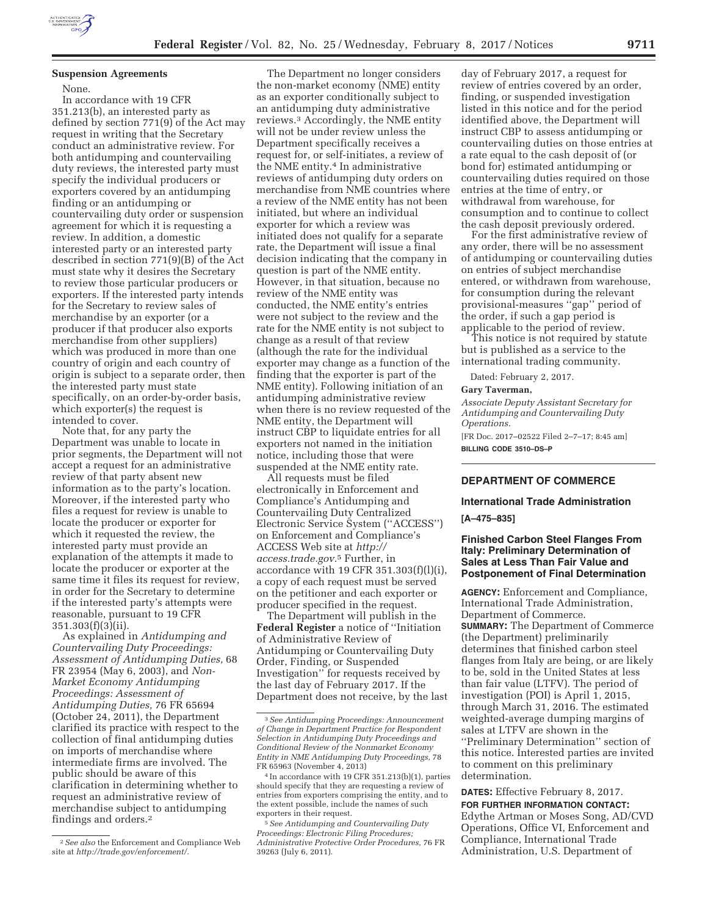

### **Suspension Agreements**

None.

In accordance with 19 CFR 351.213(b), an interested party as defined by section 771(9) of the Act may request in writing that the Secretary conduct an administrative review. For both antidumping and countervailing duty reviews, the interested party must specify the individual producers or exporters covered by an antidumping finding or an antidumping or countervailing duty order or suspension agreement for which it is requesting a review. In addition, a domestic interested party or an interested party described in section 771(9)(B) of the Act must state why it desires the Secretary to review those particular producers or exporters. If the interested party intends for the Secretary to review sales of merchandise by an exporter (or a producer if that producer also exports merchandise from other suppliers) which was produced in more than one country of origin and each country of origin is subject to a separate order, then the interested party must state specifically, on an order-by-order basis, which exporter(s) the request is intended to cover.

Note that, for any party the Department was unable to locate in prior segments, the Department will not accept a request for an administrative review of that party absent new information as to the party's location. Moreover, if the interested party who files a request for review is unable to locate the producer or exporter for which it requested the review, the interested party must provide an explanation of the attempts it made to locate the producer or exporter at the same time it files its request for review, in order for the Secretary to determine if the interested party's attempts were reasonable, pursuant to 19 CFR 351.303(f)(3)(ii).

As explained in *Antidumping and Countervailing Duty Proceedings: Assessment of Antidumping Duties,* 68 FR 23954 (May 6, 2003), and *Non-Market Economy Antidumping Proceedings: Assessment of Antidumping Duties,* 76 FR 65694 (October 24, 2011), the Department clarified its practice with respect to the collection of final antidumping duties on imports of merchandise where intermediate firms are involved. The public should be aware of this clarification in determining whether to request an administrative review of merchandise subject to antidumping findings and orders.2

The Department no longer considers the non-market economy (NME) entity as an exporter conditionally subject to an antidumping duty administrative reviews.3 Accordingly, the NME entity will not be under review unless the Department specifically receives a request for, or self-initiates, a review of the NME entity.4 In administrative reviews of antidumping duty orders on merchandise from NME countries where a review of the NME entity has not been initiated, but where an individual exporter for which a review was initiated does not qualify for a separate rate, the Department will issue a final decision indicating that the company in question is part of the NME entity. However, in that situation, because no review of the NME entity was conducted, the NME entity's entries were not subject to the review and the rate for the NME entity is not subject to change as a result of that review (although the rate for the individual exporter may change as a function of the finding that the exporter is part of the NME entity). Following initiation of an antidumping administrative review when there is no review requested of the NME entity, the Department will instruct CBP to liquidate entries for all exporters not named in the initiation notice, including those that were suspended at the NME entity rate.

All requests must be filed electronically in Enforcement and Compliance's Antidumping and Countervailing Duty Centralized Electronic Service System (''ACCESS'') on Enforcement and Compliance's ACCESS Web site at *http:// access.trade.gov.*5 Further, in accordance with 19 CFR 351.303(f)(l)(i), a copy of each request must be served on the petitioner and each exporter or producer specified in the request.

The Department will publish in the **Federal Register** a notice of ''Initiation of Administrative Review of Antidumping or Countervailing Duty Order, Finding, or Suspended Investigation'' for requests received by the last day of February 2017. If the Department does not receive, by the last

day of February 2017, a request for review of entries covered by an order, finding, or suspended investigation listed in this notice and for the period identified above, the Department will instruct CBP to assess antidumping or countervailing duties on those entries at a rate equal to the cash deposit of (or bond for) estimated antidumping or countervailing duties required on those entries at the time of entry, or withdrawal from warehouse, for consumption and to continue to collect the cash deposit previously ordered.

For the first administrative review of any order, there will be no assessment of antidumping or countervailing duties on entries of subject merchandise entered, or withdrawn from warehouse, for consumption during the relevant provisional-measures ''gap'' period of the order, if such a gap period is applicable to the period of review.

This notice is not required by statute but is published as a service to the international trading community.

Dated: February 2, 2017.

#### **Gary Taverman,**

*Associate Deputy Assistant Secretary for Antidumping and Countervailing Duty Operations.* 

[FR Doc. 2017–02522 Filed 2–7–17; 8:45 am] **BILLING CODE 3510–DS–P** 

# **DEPARTMENT OF COMMERCE**

#### **International Trade Administration**

**[A–475–835]** 

# **Finished Carbon Steel Flanges From Italy: Preliminary Determination of Sales at Less Than Fair Value and Postponement of Final Determination**

**AGENCY:** Enforcement and Compliance, International Trade Administration, Department of Commerce. **SUMMARY:** The Department of Commerce (the Department) preliminarily determines that finished carbon steel flanges from Italy are being, or are likely to be, sold in the United States at less than fair value (LTFV). The period of investigation (POI) is April 1, 2015, through March 31, 2016. The estimated weighted-average dumping margins of sales at LTFV are shown in the ''Preliminary Determination'' section of this notice. Interested parties are invited to comment on this preliminary determination.

**DATES:** Effective February 8, 2017.

**FOR FURTHER INFORMATION CONTACT:**  Edythe Artman or Moses Song, AD/CVD Operations, Office VI, Enforcement and Compliance, International Trade Administration, U.S. Department of

<sup>2</sup>*See also* the Enforcement and Compliance Web site at *http://trade.gov/enforcement/.* 

<sup>3</sup>*See Antidumping Proceedings: Announcement of Change in Department Practice for Respondent Selection in Antidumping Duty Proceedings and Conditional Review of the Nonmarket Economy Entity in NME Antidumping Duty Proceedings,* 78 FR 65963 (November 4, 2013)

<sup>4</sup> In accordance with 19 CFR 351.213(b)(1), parties should specify that they are requesting a review of entries from exporters comprising the entity, and to the extent possible, include the names of such exporters in their request.

<sup>5</sup>*See Antidumping and Countervailing Duty Proceedings: Electronic Filing Procedures; Administrative Protective Order Procedures,* 76 FR 39263 (July 6, 2011).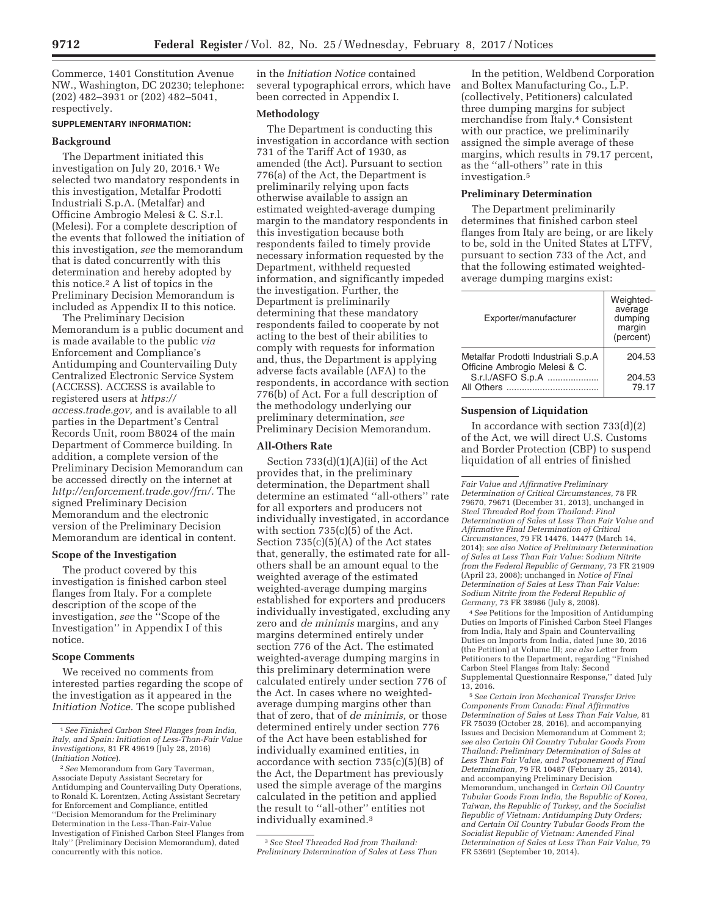Commerce, 1401 Constitution Avenue NW., Washington, DC 20230; telephone: (202) 482–3931 or (202) 482–5041, respectively.

#### **SUPPLEMENTARY INFORMATION:**

#### **Background**

The Department initiated this investigation on July 20, 2016.1 We selected two mandatory respondents in this investigation, Metalfar Prodotti Industriali S.p.A. (Metalfar) and Officine Ambrogio Melesi & C. S.r.l. (Melesi). For a complete description of the events that followed the initiation of this investigation, *see* the memorandum that is dated concurrently with this determination and hereby adopted by this notice.2 A list of topics in the Preliminary Decision Memorandum is included as Appendix II to this notice.

The Preliminary Decision Memorandum is a public document and is made available to the public *via*  Enforcement and Compliance's Antidumping and Countervailing Duty Centralized Electronic Service System (ACCESS). ACCESS is available to registered users at *https:// access.trade.gov,* and is available to all parties in the Department's Central Records Unit, room B8024 of the main Department of Commerce building. In addition, a complete version of the Preliminary Decision Memorandum can be accessed directly on the internet at *http://enforcement.trade.gov/frn/.* The signed Preliminary Decision Memorandum and the electronic version of the Preliminary Decision Memorandum are identical in content.

### **Scope of the Investigation**

The product covered by this investigation is finished carbon steel flanges from Italy. For a complete description of the scope of the investigation, *see* the ''Scope of the Investigation'' in Appendix I of this notice.

#### **Scope Comments**

We received no comments from interested parties regarding the scope of the investigation as it appeared in the *Initiation Notice.* The scope published

in the *Initiation Notice* contained several typographical errors, which have been corrected in Appendix I.

#### **Methodology**

The Department is conducting this investigation in accordance with section 731 of the Tariff Act of 1930, as amended (the Act). Pursuant to section 776(a) of the Act, the Department is preliminarily relying upon facts otherwise available to assign an estimated weighted-average dumping margin to the mandatory respondents in this investigation because both respondents failed to timely provide necessary information requested by the Department, withheld requested information, and significantly impeded the investigation. Further, the Department is preliminarily determining that these mandatory respondents failed to cooperate by not acting to the best of their abilities to comply with requests for information and, thus, the Department is applying adverse facts available (AFA) to the respondents, in accordance with section 776(b) of Act. For a full description of the methodology underlying our preliminary determination, *see*  Preliminary Decision Memorandum.

#### **All-Others Rate**

Section  $733(d)(1)(A)(ii)$  of the Act provides that, in the preliminary determination, the Department shall determine an estimated ''all-others'' rate for all exporters and producers not individually investigated, in accordance with section  $735(c)(5)$  of the Act. Section 735(c)(5)(A) of the Act states that, generally, the estimated rate for allothers shall be an amount equal to the weighted average of the estimated weighted-average dumping margins established for exporters and producers individually investigated, excluding any zero and *de minimis* margins, and any margins determined entirely under section 776 of the Act. The estimated weighted-average dumping margins in this preliminary determination were calculated entirely under section 776 of the Act. In cases where no weightedaverage dumping margins other than that of zero, that of *de minimis,* or those determined entirely under section 776 of the Act have been established for individually examined entities, in accordance with section 735(c)(5)(B) of the Act, the Department has previously used the simple average of the margins calculated in the petition and applied the result to ''all-other'' entities not individually examined.3

3*See Steel Threaded Rod from Thailand: Preliminary Determination of Sales at Less Than* 

In the petition, Weldbend Corporation and Boltex Manufacturing Co., L.P. (collectively, Petitioners) calculated three dumping margins for subject merchandise from Italy.4 Consistent with our practice, we preliminarily assigned the simple average of these margins, which results in 79.17 percent, as the ''all-others'' rate in this investigation.5

#### **Preliminary Determination**

The Department preliminarily determines that finished carbon steel flanges from Italy are being, or are likely to be, sold in the United States at LTFV, pursuant to section 733 of the Act, and that the following estimated weightedaverage dumping margins exist:

| Exporter/manufacturer                              | Weighted-<br>average<br>dumping<br>margin<br>(percent) |
|----------------------------------------------------|--------------------------------------------------------|
| Metalfar Prodotti Industriali S.p.A                | 204.53                                                 |
| Officine Ambrogio Melesi & C.<br>S.r.l./ASFO S.p.A | 204.53<br>79.17                                        |

#### **Suspension of Liquidation**

In accordance with section  $733(d)(2)$ of the Act, we will direct U.S. Customs and Border Protection (CBP) to suspend liquidation of all entries of finished

*Fair Value and Affirmative Preliminary Determination of Critical Circumstances,* 78 FR 79670, 79671 (December 31, 2013), unchanged in *Steel Threaded Rod from Thailand: Final Determination of Sales at Less Than Fair Value and Affirmative Final Determination of Critical Circumstances,* 79 FR 14476, 14477 (March 14, 2014); *see also Notice of Preliminary Determination of Sales at Less Than Fair Value: Sodium Nitrite from the Federal Republic of Germany,* 73 FR 21909 (April 23, 2008); unchanged in *Notice of Final Determination of Sales at Less Than Fair Value: Sodium Nitrite from the Federal Republic of Germany,* 73 FR 38986 (July 8, 2008).

4*See* Petitions for the Imposition of Antidumping Duties on Imports of Finished Carbon Steel Flanges from India, Italy and Spain and Countervailing Duties on Imports from India, dated June 30, 2016 (the Petition) at Volume III; *see also* Letter from Petitioners to the Department, regarding ''Finished Carbon Steel Flanges from Italy: Second Supplemental Questionnaire Response,'' dated July 13, 2016.

5*See Certain Iron Mechanical Transfer Drive Components From Canada: Final Affirmative Determination of Sales at Less Than Fair Value,* 81 FR 75039 (October 28, 2016), and accompanying Issues and Decision Memorandum at Comment 2; *see also Certain Oil Country Tubular Goods From Thailand: Preliminary Determination of Sales at Less Than Fair Value, and Postponement of Final Determination,* 79 FR 10487 (February 25, 2014), and accompanying Preliminary Decision Memorandum, unchanged in *Certain Oil Country Tubular Goods From India, the Republic of Korea, Taiwan, the Republic of Turkey, and the Socialist Republic of Vietnam: Antidumping Duty Orders; and Certain Oil Country Tubular Goods From the Socialist Republic of Vietnam: Amended Final Determination of Sales at Less Than Fair Value,* 79 FR 53691 (September 10, 2014).

<sup>1</sup>*See Finished Carbon Steel Flanges from India, Italy, and Spain: Initiation of Less-Than-Fair Value Investigations,* 81 FR 49619 (July 28, 2016) (*Initiation Notice*).

<sup>2</sup>*See* Memorandum from Gary Taverman, Associate Deputy Assistant Secretary for Antidumping and Countervailing Duty Operations, to Ronald K. Lorentzen, Acting Assistant Secretary for Enforcement and Compliance, entitled ''Decision Memorandum for the Preliminary Determination in the Less-Than-Fair-Value Investigation of Finished Carbon Steel Flanges from Italy'' (Preliminary Decision Memorandum), dated concurrently with this notice.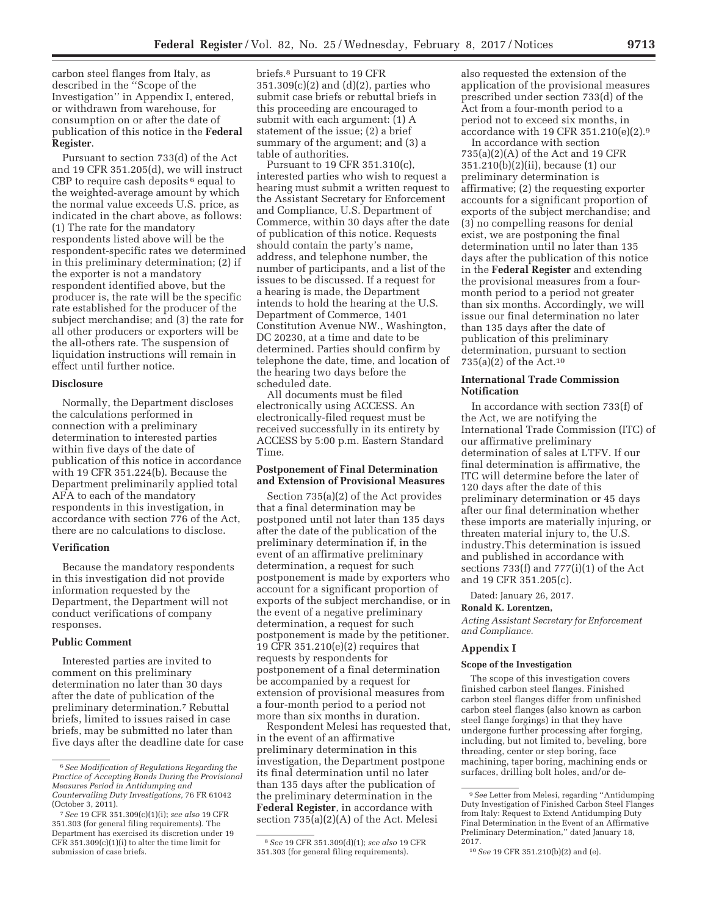carbon steel flanges from Italy, as described in the ''Scope of the Investigation'' in Appendix I, entered, or withdrawn from warehouse, for consumption on or after the date of publication of this notice in the **Federal Register**.

Pursuant to section 733(d) of the Act and 19 CFR 351.205(d), we will instruct CBP to require cash deposits <sup>6</sup> equal to the weighted-average amount by which the normal value exceeds U.S. price, as indicated in the chart above, as follows: (1) The rate for the mandatory respondents listed above will be the respondent-specific rates we determined in this preliminary determination; (2) if the exporter is not a mandatory respondent identified above, but the producer is, the rate will be the specific rate established for the producer of the subject merchandise; and (3) the rate for all other producers or exporters will be the all-others rate. The suspension of liquidation instructions will remain in effect until further notice.

#### **Disclosure**

Normally, the Department discloses the calculations performed in connection with a preliminary determination to interested parties within five days of the date of publication of this notice in accordance with 19 CFR 351.224(b). Because the Department preliminarily applied total AFA to each of the mandatory respondents in this investigation, in accordance with section 776 of the Act, there are no calculations to disclose.

### **Verification**

Because the mandatory respondents in this investigation did not provide information requested by the Department, the Department will not conduct verifications of company responses.

# **Public Comment**

Interested parties are invited to comment on this preliminary determination no later than 30 days after the date of publication of the preliminary determination.7 Rebuttal briefs, limited to issues raised in case briefs, may be submitted no later than five days after the deadline date for case briefs.8 Pursuant to 19 CFR 351.309(c)(2) and (d)(2), parties who submit case briefs or rebuttal briefs in this proceeding are encouraged to submit with each argument: (1) A statement of the issue; (2) a brief summary of the argument; and (3) a table of authorities.

Pursuant to 19 CFR 351.310(c), interested parties who wish to request a hearing must submit a written request to the Assistant Secretary for Enforcement and Compliance, U.S. Department of Commerce, within 30 days after the date of publication of this notice. Requests should contain the party's name, address, and telephone number, the number of participants, and a list of the issues to be discussed. If a request for a hearing is made, the Department intends to hold the hearing at the U.S. Department of Commerce, 1401 Constitution Avenue NW., Washington, DC 20230, at a time and date to be determined. Parties should confirm by telephone the date, time, and location of the hearing two days before the scheduled date.

All documents must be filed electronically using ACCESS. An electronically-filed request must be received successfully in its entirety by ACCESS by 5:00 p.m. Eastern Standard Time.

### **Postponement of Final Determination and Extension of Provisional Measures**

Section 735(a)(2) of the Act provides that a final determination may be postponed until not later than 135 days after the date of the publication of the preliminary determination if, in the event of an affirmative preliminary determination, a request for such postponement is made by exporters who account for a significant proportion of exports of the subject merchandise, or in the event of a negative preliminary determination, a request for such postponement is made by the petitioner. 19 CFR 351.210(e)(2) requires that requests by respondents for postponement of a final determination be accompanied by a request for extension of provisional measures from a four-month period to a period not more than six months in duration.

Respondent Melesi has requested that, in the event of an affirmative preliminary determination in this investigation, the Department postpone its final determination until no later than 135 days after the publication of the preliminary determination in the **Federal Register**, in accordance with section 735(a)(2)(A) of the Act. Melesi

also requested the extension of the application of the provisional measures prescribed under section 733(d) of the Act from a four-month period to a period not to exceed six months, in accordance with 19 CFR 351.210(e)(2).9

In accordance with section 735(a)(2)(A) of the Act and 19 CFR 351.210(b)(2)(ii), because (1) our preliminary determination is affirmative; (2) the requesting exporter accounts for a significant proportion of exports of the subject merchandise; and (3) no compelling reasons for denial exist, we are postponing the final determination until no later than 135 days after the publication of this notice in the **Federal Register** and extending the provisional measures from a fourmonth period to a period not greater than six months. Accordingly, we will issue our final determination no later than 135 days after the date of publication of this preliminary determination, pursuant to section 735(a)(2) of the Act.10

### **International Trade Commission Notification**

In accordance with section 733(f) of the Act, we are notifying the International Trade Commission (ITC) of our affirmative preliminary determination of sales at LTFV. If our final determination is affirmative, the ITC will determine before the later of 120 days after the date of this preliminary determination or 45 days after our final determination whether these imports are materially injuring, or threaten material injury to, the U.S. industry.This determination is issued and published in accordance with sections 733(f) and 777(i)(1) of the Act and 19 CFR 351.205(c).

Dated: January 26, 2017.

### **Ronald K. Lorentzen,**

*Acting Assistant Secretary for Enforcement and Compliance.* 

#### **Appendix I**

#### **Scope of the Investigation**

The scope of this investigation covers finished carbon steel flanges. Finished carbon steel flanges differ from unfinished carbon steel flanges (also known as carbon steel flange forgings) in that they have undergone further processing after forging, including, but not limited to, beveling, bore threading, center or step boring, face machining, taper boring, machining ends or surfaces, drilling bolt holes, and/or de-

<sup>6</sup>*See Modification of Regulations Regarding the Practice of Accepting Bonds During the Provisional Measures Period in Antidumping and Countervailing Duty Investigations,* 76 FR 61042 (October 3, 2011).

<sup>7</sup>*See* 19 CFR 351.309(c)(1)(i); *see also* 19 CFR 351.303 (for general filing requirements). The Department has exercised its discretion under 19 CFR  $351.309(c)(1)(i)$  to alter the time limit for submission of case briefs.

<sup>8</sup>*See* 19 CFR 351.309(d)(1); *see also* 19 CFR 351.303 (for general filing requirements).

<sup>9</sup>*See* Letter from Melesi, regarding ''Antidumping Duty Investigation of Finished Carbon Steel Flanges from Italy: Request to Extend Antidumping Duty Final Determination in the Event of an Affirmative Preliminary Determination,'' dated January 18, 2017.

<sup>10</sup>*See* 19 CFR 351.210(b)(2) and (e).